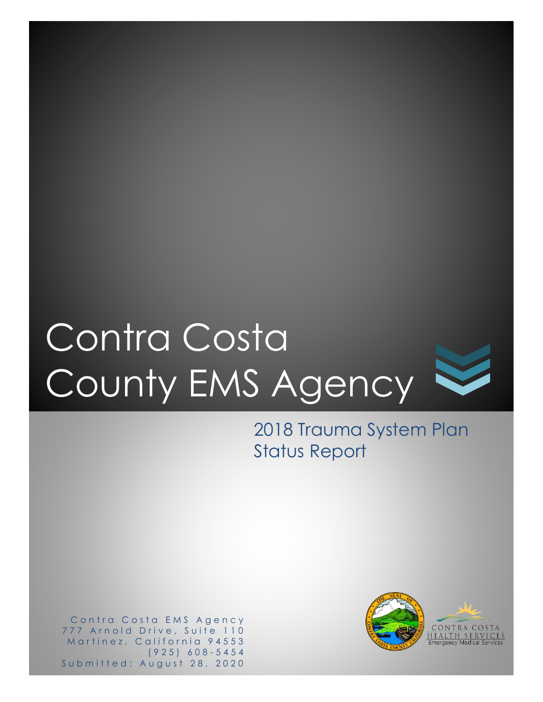# Contra Costa County EMS Agency

2018 Trauma System Plan Status Report

Contra Costa EMS Agency 777 Arnold Drive, Suite 110 Martinez, California 94553 ( 9 2 5 ) 6 0 8 - 5454 Submitted: August 28, 2020

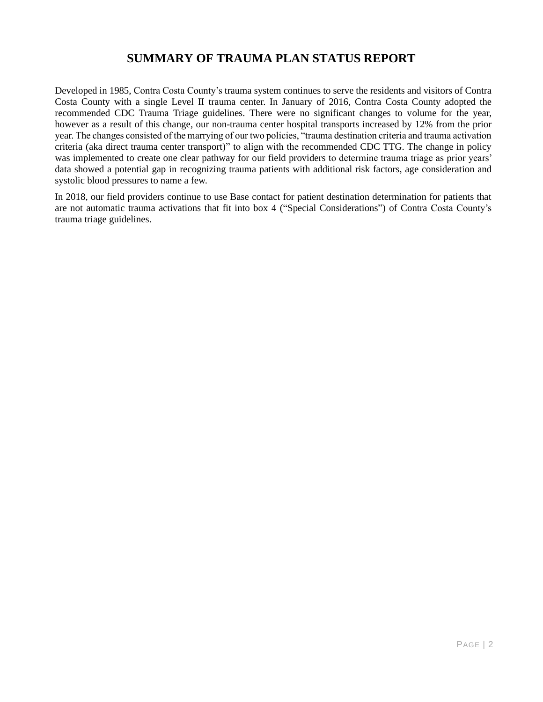## **SUMMARY OF TRAUMA PLAN STATUS REPORT**

Developed in 1985, Contra Costa County's trauma system continues to serve the residents and visitors of Contra Costa County with a single Level II trauma center. In January of 2016, Contra Costa County adopted the recommended CDC Trauma Triage guidelines. There were no significant changes to volume for the year, however as a result of this change, our non-trauma center hospital transports increased by 12% from the prior year. The changes consisted of the marrying of our two policies, "trauma destination criteria and trauma activation criteria (aka direct trauma center transport)" to align with the recommended CDC TTG. The change in policy was implemented to create one clear pathway for our field providers to determine trauma triage as prior years' data showed a potential gap in recognizing trauma patients with additional risk factors, age consideration and systolic blood pressures to name a few.

In 2018, our field providers continue to use Base contact for patient destination determination for patients that are not automatic trauma activations that fit into box 4 ("Special Considerations") of Contra Costa County's trauma triage guidelines.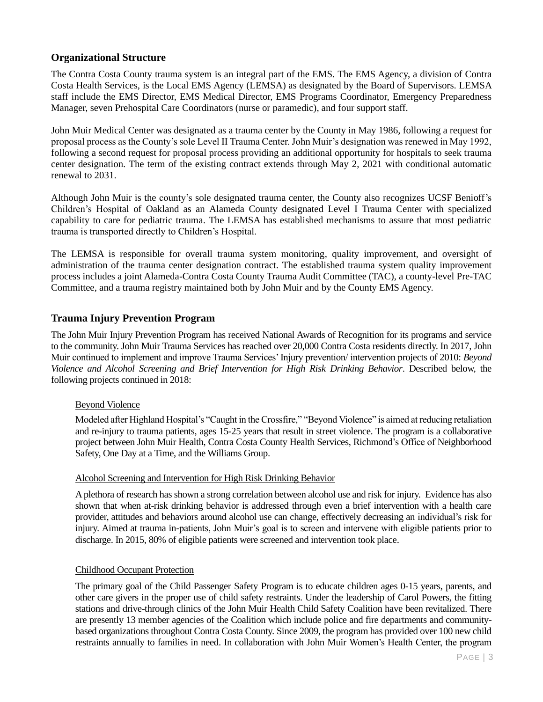#### **Organizational Structure**

The Contra Costa County trauma system is an integral part of the EMS. The EMS Agency, a division of Contra Costa Health Services, is the Local EMS Agency (LEMSA) as designated by the Board of Supervisors. LEMSA staff include the EMS Director, EMS Medical Director, EMS Programs Coordinator, Emergency Preparedness Manager, seven Prehospital Care Coordinators (nurse or paramedic), and four support staff.

John Muir Medical Center was designated as a trauma center by the County in May 1986, following a request for proposal process as the County's sole Level II Trauma Center. John Muir's designation was renewed in May 1992, following a second request for proposal process providing an additional opportunity for hospitals to seek trauma center designation. The term of the existing contract extends through May 2, 2021 with conditional automatic renewal to 2031.

Although John Muir is the county's sole designated trauma center, the County also recognizes UCSF Benioff's Children's Hospital of Oakland as an Alameda County designated Level I Trauma Center with specialized capability to care for pediatric trauma. The LEMSA has established mechanisms to assure that most pediatric trauma is transported directly to Children's Hospital.

The LEMSA is responsible for overall trauma system monitoring, quality improvement, and oversight of administration of the trauma center designation contract. The established trauma system quality improvement process includes a joint Alameda-Contra Costa County Trauma Audit Committee (TAC), a county-level Pre-TAC Committee, and a trauma registry maintained both by John Muir and by the County EMS Agency.

### **Trauma Injury Prevention Program**

The John Muir Injury Prevention Program has received National Awards of Recognition for its programs and service to the community. John Muir Trauma Services has reached over 20,000 Contra Costa residents directly. In 2017, John Muir continued to implement and improve Trauma Services' Injury prevention/ intervention projects of 2010: *Beyond Violence and Alcohol Screening and Brief Intervention for High Risk Drinking Behavior*. Described below, the following projects continued in 2018:

#### Beyond Violence

Modeled after Highland Hospital's "Caught in the Crossfire," "Beyond Violence" is aimed at reducing retaliation and re-injury to trauma patients, ages 15-25 years that result in street violence. The program is a collaborative project between John Muir Health, Contra Costa County Health Services, Richmond's Office of Neighborhood Safety, One Day at a Time, and the Williams Group.

#### Alcohol Screening and Intervention for High Risk Drinking Behavior

A plethora of research has shown a strong correlation between alcohol use and risk for injury. Evidence has also shown that when at-risk drinking behavior is addressed through even a brief intervention with a health care provider, attitudes and behaviors around alcohol use can change, effectively decreasing an individual's risk for injury. Aimed at trauma in-patients, John Muir's goal is to screen and intervene with eligible patients prior to discharge. In 2015, 80% of eligible patients were screened and intervention took place.

#### Childhood Occupant Protection

The primary goal of the Child Passenger Safety Program is to educate children ages 0-15 years, parents, and other care givers in the proper use of child safety restraints. Under the leadership of Carol Powers, the fitting stations and drive-through clinics of the John Muir Health Child Safety Coalition have been revitalized. There are presently 13 member agencies of the Coalition which include police and fire departments and communitybased organizations throughout Contra Costa County. Since 2009, the program has provided over 100 new child restraints annually to families in need. In collaboration with John Muir Women's Health Center, the program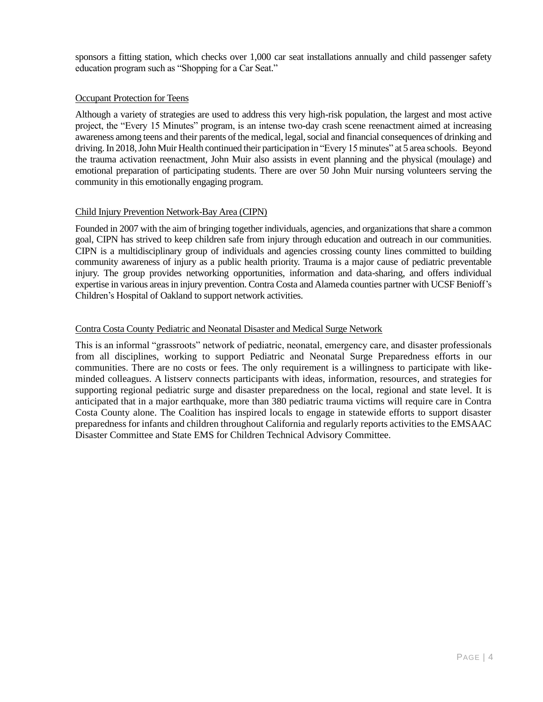sponsors a fitting station, which checks over 1,000 car seat installations annually and child passenger safety education program such as "Shopping for a Car Seat."

#### Occupant Protection for Teens

Although a variety of strategies are used to address this very high-risk population, the largest and most active project, the "Every 15 Minutes" program, is an intense two-day crash scene reenactment aimed at increasing awareness among teens and their parents of the medical, legal, social and financial consequences of drinking and driving. In 2018, John Muir Health continued their participation in "Every 15 minutes" at 5 area schools. Beyond the trauma activation reenactment, John Muir also assists in event planning and the physical (moulage) and emotional preparation of participating students. There are over 50 John Muir nursing volunteers serving the community in this emotionally engaging program.

#### Child Injury Prevention Network-Bay Area (CIPN)

Founded in 2007 with the aim of bringing together individuals, agencies, and organizations that share a common goal, CIPN has strived to keep children safe from injury through education and outreach in our communities. CIPN is a multidisciplinary group of individuals and agencies crossing county lines committed to building community awareness of injury as a public health priority. Trauma is a major cause of pediatric preventable injury. The group provides networking opportunities, information and data-sharing, and offers individual expertise in various areas in injury prevention. Contra Costa and Alameda counties partner with UCSF Benioff's Children's Hospital of Oakland to support network activities.

#### Contra Costa County Pediatric and Neonatal Disaster and Medical Surge Network

This is an informal "grassroots" network of pediatric, neonatal, emergency care, and disaster professionals from all disciplines, working to support Pediatric and Neonatal Surge Preparedness efforts in our communities. There are no costs or fees. The only requirement is a willingness to participate with likeminded colleagues. A listserv connects participants with ideas, information, resources, and strategies for supporting regional pediatric surge and disaster preparedness on the local, regional and state level. It is anticipated that in a major earthquake, more than 380 pediatric trauma victims will require care in Contra Costa County alone. The Coalition has inspired locals to engage in statewide efforts to support disaster preparedness for infants and children throughout California and regularly reports activities to the EMSAAC Disaster Committee and State EMS for Children Technical Advisory Committee.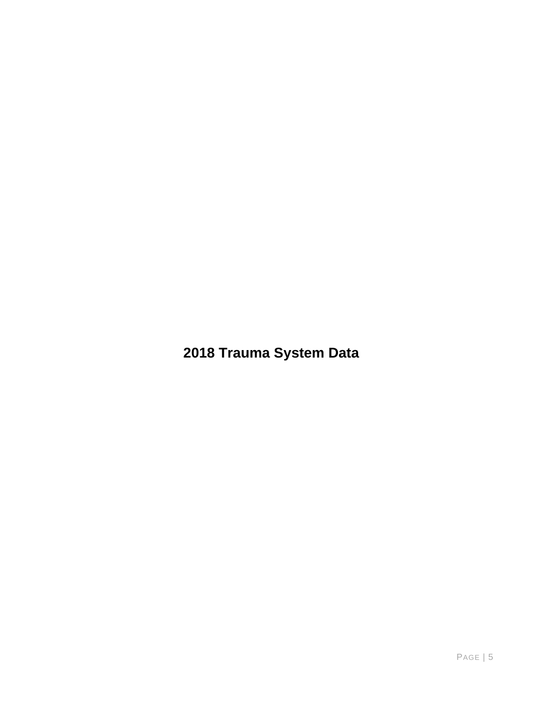2018 Trauma System Data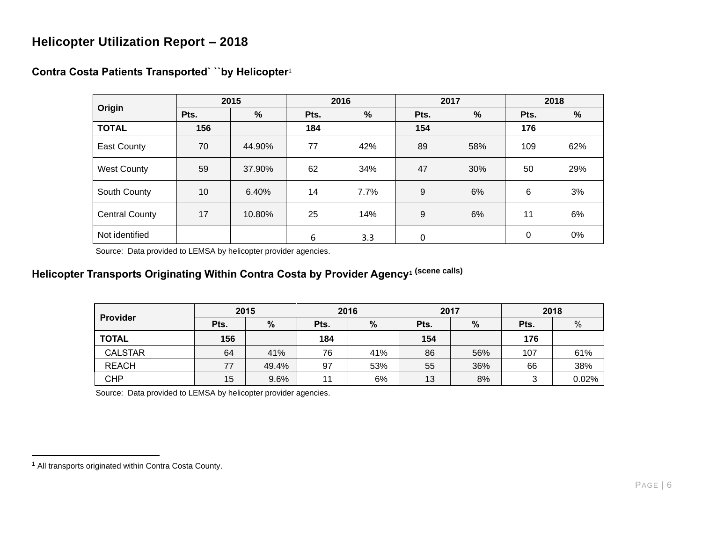## **Helicopter Utilization Report – 2018**

<span id="page-5-0"></span>

|                       | 2015 |        | 2016 |      |      | 2017 | 2018 |     |  |
|-----------------------|------|--------|------|------|------|------|------|-----|--|
| Origin                | Pts. | $\%$   | Pts. | %    | Pts. | %    | Pts. | %   |  |
| <b>TOTAL</b>          | 156  |        | 184  |      | 154  |      | 176  |     |  |
| East County           | 70   | 44.90% | 77   | 42%  | 89   | 58%  | 109  | 62% |  |
| <b>West County</b>    | 59   | 37.90% | 62   | 34%  | 47   | 30%  | 50   | 29% |  |
| South County          | 10   | 6.40%  | 14   | 7.7% | 9    | 6%   | 6    | 3%  |  |
| <b>Central County</b> | 17   | 10.80% | 25   | 14%  | 9    | 6%   | 11   | 6%  |  |
| Not identified        |      |        | 6    | 3.3  | 0    |      | 0    | 0%  |  |

## **Contra Costa Patients Transported` ``by Helicopter**<sup>1</sup>

Source: Data provided to LEMSA by helicopter provider agencies.

# **Helicopter Transports Originating Within Contra Costa by Provider Agenc[y](#page-5-0)<sup>1</sup> (scene calls)**

| <b>Provider</b> | 2015 |       | 2016 |     | 2017 |     | 2018 |       |  |
|-----------------|------|-------|------|-----|------|-----|------|-------|--|
|                 | Pts. | %     | Pts. | %   | Pts. | %   | Pts. | $\%$  |  |
| <b>TOTAL</b>    | 156  |       | 184  |     | 154  |     | 176  |       |  |
| <b>CALSTAR</b>  | 64   | 41%   | 76   | 41% | 86   | 56% | 107  | 61%   |  |
| <b>REACH</b>    | 77   | 49.4% | 97   | 53% | 55   | 36% | 66   | 38%   |  |
| <b>CHP</b>      | 15   | 9.6%  | 11   | 6%  | 13   | 8%  | 3    | 0.02% |  |

Source: Data provided to LEMSA by helicopter provider agencies.

<sup>1</sup> All transports originated within Contra Costa County.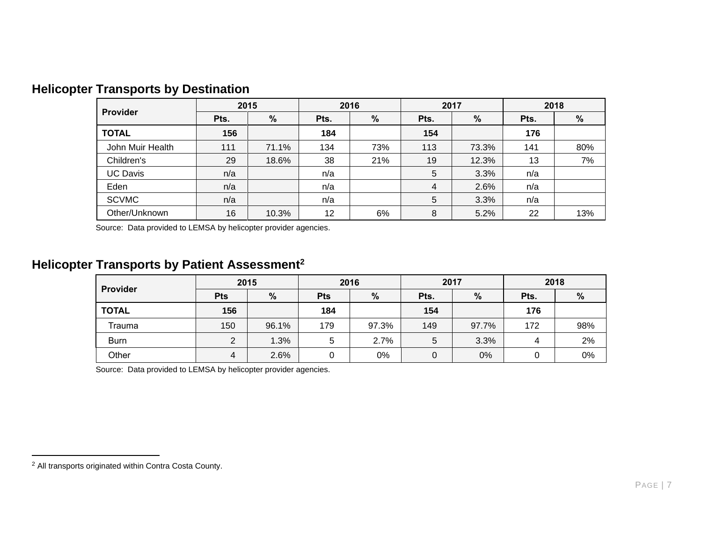| Provider         | 2015 |       | 2016 |     |                | 2017  | 2018 |     |
|------------------|------|-------|------|-----|----------------|-------|------|-----|
|                  | Pts. | %     | Pts. | %   | Pts.           | $\%$  | Pts. | %   |
| <b>TOTAL</b>     | 156  |       | 184  |     | 154            |       | 176  |     |
| John Muir Health | 111  | 71.1% | 134  | 73% | 113            | 73.3% | 141  | 80% |
| Children's       | 29   | 18.6% | 38   | 21% | 19             | 12.3% | 13   | 7%  |
| <b>UC Davis</b>  | n/a  |       | n/a  |     | $\overline{5}$ | 3.3%  | n/a  |     |
| Eden             | n/a  |       | n/a  |     | $\overline{4}$ | 2.6%  | n/a  |     |
| <b>SCVMC</b>     | n/a  |       | n/a  |     | 5              | 3.3%  | n/a  |     |
| Other/Unknown    | 16   | 10.3% | 12   | 6%  | 8              | 5.2%  | 22   | 13% |

# **Helicopter Transports by Destination**

Source: Data provided to LEMSA by helicopter provider agencies.

# **Helicopter Transports by Patient Assessment<sup>2</sup>**

| Provider     | 2015           |       | 2016            |       |             | 2017  | 2018 |     |  |
|--------------|----------------|-------|-----------------|-------|-------------|-------|------|-----|--|
|              | <b>Pts</b>     | %     | %<br><b>Pts</b> |       | Pts.        | %     |      | %   |  |
| <b>TOTAL</b> | 156            |       | 184             |       | 154         |       | 176  |     |  |
| Trauma       | 150            | 96.1% | 179             | 97.3% | 149         | 97.7% | 172  | 98% |  |
| <b>Burn</b>  | $\overline{2}$ | 1.3%  | 5               | 2.7%  | 5           | 3.3%  | 4    | 2%  |  |
| Other        | 4              | 2.6%  | 0               | 0%    | $\mathbf 0$ | 0%    |      | 0%  |  |

Source: Data provided to LEMSA by helicopter provider agencies.

<sup>2</sup> All transports originated within Contra Costa County.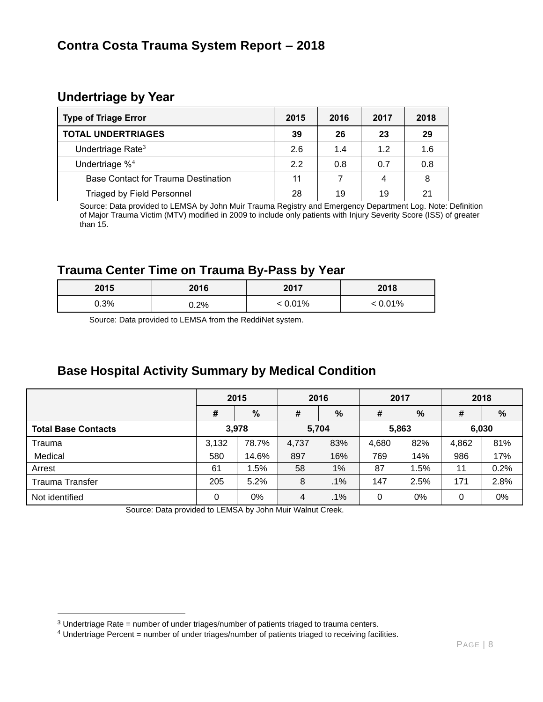## **Undertriage by Year**

| <b>Type of Triage Error</b>         | 2015 | 2016 | 2017 | 2018 |
|-------------------------------------|------|------|------|------|
| <b>TOTAL UNDERTRIAGES</b>           | 39   | 26   | 23   | 29   |
| Undertriage Rate <sup>3</sup>       | 2.6  | 1.4  | 1.2  | 1.6  |
| Undertriage $%$ <sup>4</sup>        | 2.2  | 0.8  | 0.7  | 0.8  |
| Base Contact for Trauma Destination | 11   |      | 4    | 8    |
| <b>Triaged by Field Personnel</b>   | 28   | 19   | 19   | 21   |

 Source: Data provided to LEMSA by John Muir Trauma Registry and Emergency Department Log. Note: Definition of Major Trauma Victim (MTV) modified in 2009 to include only patients with Injury Severity Score (ISS) of greater than 15.

## **Trauma Center Time on Trauma By-Pass by Year**

| 2015 | 2016    | 2017    | 2018    |
|------|---------|---------|---------|
| 0.3% | $0.2\%$ | < 0.01% | : 0.01% |

Source: Data provided to LEMSA from the ReddiNet system.

## **Base Hospital Activity Summary by Medical Condition**

|                            | 2015  |       | 2016  |        | 2017  |      | 2018  |      |
|----------------------------|-------|-------|-------|--------|-------|------|-------|------|
|                            | #     | %     | #     | %      | #     | %    | #     | %    |
| <b>Total Base Contacts</b> | 3,978 |       | 5,704 |        | 5,863 |      | 6,030 |      |
| Trauma                     | 3,132 | 78.7% | 4,737 | 83%    | 4,680 | 82%  | 4,862 | 81%  |
| Medical                    | 580   | 14.6% | 897   | 16%    | 769   | 14%  | 986   | 17%  |
| Arrest                     | 61    | 1.5%  | 58    | 1%     | 87    | .5%  | 11    | 0.2% |
| <b>Trauma Transfer</b>     | 205   | 5.2%  | 8     | $.1\%$ | 147   | 2.5% | 171   | 2.8% |
| Not identified             | 0     | 0%    | 4     | $.1\%$ | 0     | 0%   | 0     | 0%   |

Source: Data provided to LEMSA by John Muir Walnut Creek.

 $3$  Undertriage Rate = number of under triages/number of patients triaged to trauma centers.

<sup>4</sup> Undertriage Percent = number of under triages/number of patients triaged to receiving facilities.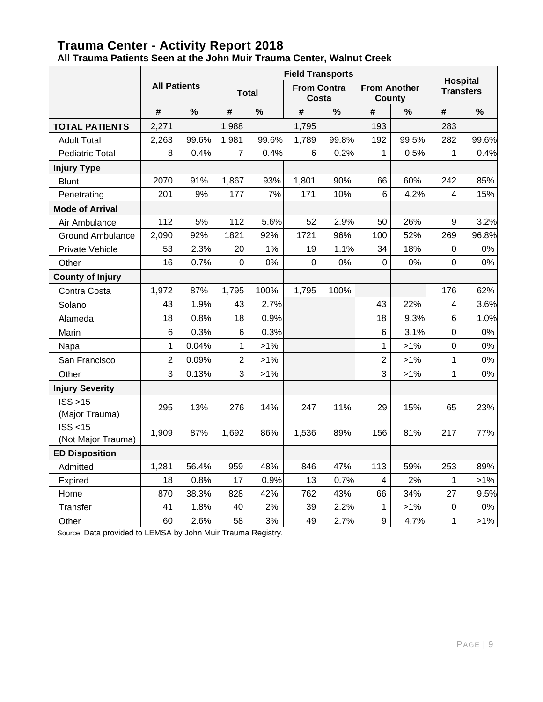## **Trauma Center - Activity Report 2018 All Trauma Patients Seen at the John Muir Trauma Center, Walnut Creek**

|                                |                     |       | <b>Field Transports</b> |        |                             |       |                               |               |                                     |        |
|--------------------------------|---------------------|-------|-------------------------|--------|-----------------------------|-------|-------------------------------|---------------|-------------------------------------|--------|
|                                | <b>All Patients</b> |       | <b>Total</b>            |        | <b>From Contra</b><br>Costa |       | <b>From Another</b><br>County |               | <b>Hospital</b><br><b>Transfers</b> |        |
|                                | #                   | $\%$  | #                       | %      | #                           | $\%$  | #                             | $\frac{9}{6}$ | #                                   | $\%$   |
| <b>TOTAL PATIENTS</b>          | 2,271               |       | 1,988                   |        | 1,795                       |       | 193                           |               | 283                                 |        |
| <b>Adult Total</b>             | 2,263               | 99.6% | 1,981                   | 99.6%  | 1,789                       | 99.8% | 192                           | 99.5%         | 282                                 | 99.6%  |
| <b>Pediatric Total</b>         | 8                   | 0.4%  | $\overline{7}$          | 0.4%   | 6                           | 0.2%  | 1                             | 0.5%          | 1                                   | 0.4%   |
| <b>Injury Type</b>             |                     |       |                         |        |                             |       |                               |               |                                     |        |
| <b>Blunt</b>                   | 2070                | 91%   | 1,867                   | 93%    | 1,801                       | 90%   | 66                            | 60%           | 242                                 | 85%    |
| Penetrating                    | 201                 | 9%    | 177                     | 7%     | 171                         | 10%   | 6                             | 4.2%          | 4                                   | 15%    |
| <b>Mode of Arrival</b>         |                     |       |                         |        |                             |       |                               |               |                                     |        |
| Air Ambulance                  | 112                 | 5%    | 112                     | 5.6%   | 52                          | 2.9%  | 50                            | 26%           | 9                                   | 3.2%   |
| <b>Ground Ambulance</b>        | 2,090               | 92%   | 1821                    | 92%    | 1721                        | 96%   | 100                           | 52%           | 269                                 | 96.8%  |
| <b>Private Vehicle</b>         | 53                  | 2.3%  | 20                      | 1%     | 19                          | 1.1%  | 34                            | 18%           | 0                                   | 0%     |
| Other                          | 16                  | 0.7%  | $\mathbf 0$             | 0%     | $\mathbf 0$                 | 0%    | $\mathbf 0$                   | 0%            | $\mathbf 0$                         | 0%     |
| <b>County of Injury</b>        |                     |       |                         |        |                             |       |                               |               |                                     |        |
| Contra Costa                   | 1,972               | 87%   | 1,795                   | 100%   | 1,795                       | 100%  |                               |               | 176                                 | 62%    |
| Solano                         | 43                  | 1.9%  | 43                      | 2.7%   |                             |       | 43                            | 22%           | 4                                   | 3.6%   |
| Alameda                        | 18                  | 0.8%  | 18                      | 0.9%   |                             |       | 18                            | 9.3%          | 6                                   | 1.0%   |
| Marin                          | 6                   | 0.3%  | $\,6$                   | 0.3%   |                             |       | 6                             | 3.1%          | 0                                   | 0%     |
| Napa                           | 1                   | 0.04% | 1                       | $>1\%$ |                             |       | 1                             | $>1\%$        | 0                                   | 0%     |
| San Francisco                  | $\overline{2}$      | 0.09% | $\overline{2}$          | $>1\%$ |                             |       | $\overline{2}$                | $>1\%$        | 1                                   | 0%     |
| Other                          | 3                   | 0.13% | 3                       | $>1\%$ |                             |       | 3                             | $>1\%$        | $\mathbf{1}$                        | 0%     |
| <b>Injury Severity</b>         |                     |       |                         |        |                             |       |                               |               |                                     |        |
| ISS > 15<br>(Major Trauma)     | 295                 | 13%   | 276                     | 14%    | 247                         | 11%   | 29                            | 15%           | 65                                  | 23%    |
| ISS < 15<br>(Not Major Trauma) | 1,909               | 87%   | 1,692                   | 86%    | 1,536                       | 89%   | 156                           | 81%           | 217                                 | 77%    |
| <b>ED Disposition</b>          |                     |       |                         |        |                             |       |                               |               |                                     |        |
| Admitted                       | 1,281               | 56.4% | 959                     | 48%    | 846                         | 47%   | 113                           | 59%           | 253                                 | 89%    |
| Expired                        | 18                  | 0.8%  | 17                      | 0.9%   | 13                          | 0.7%  | 4                             | 2%            | 1                                   | $>1\%$ |
| Home                           | 870                 | 38.3% | 828                     | 42%    | 762                         | 43%   | 66                            | 34%           | 27                                  | 9.5%   |
| Transfer                       | 41                  | 1.8%  | 40                      | 2%     | 39                          | 2.2%  | 1                             | $>1\%$        | 0                                   | 0%     |
| Other                          | 60                  | 2.6%  | 58                      | 3%     | 49                          | 2.7%  | 9                             | 4.7%          | $\mathbf 1$                         | $>1\%$ |

Source: Data provided to LEMSA by John Muir Trauma Registry.